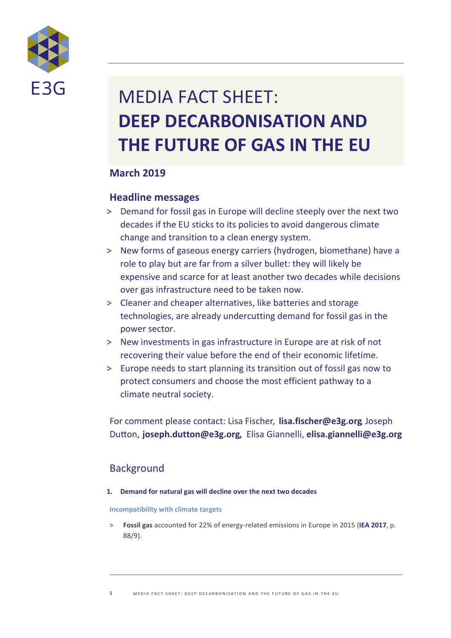

# MEDIA FACT SHEET: **DEEP DECARBONISATION AND THE FUTURE OF GAS IN THE EU**

# **March 2019**

# **Headline messages**

- > Demand for fossil gas in Europe will decline steeply over the next two decades if the EU sticks to its policies to avoid dangerous climate change and transition to a clean energy system.
- > New forms of gaseous energy carriers (hydrogen, biomethane) have a role to play but are far from a silver bullet: they will likely be expensive and scarce for at least another two decades while decisions over gas infrastructure need to be taken now.
- > Cleaner and cheaper alternatives, like batteries and storage technologies, are already undercutting demand for fossil gas in the power sector.
- > New investments in gas infrastructure in Europe are at risk of not recovering their value before the end of their economic lifetime.
- > Europe needs to start planning its transition out of fossil gas now to protect consumers and choose the most efficient pathway to a climate neutral society.

For comment please contact: Lisa Fischer, [lisa.fischer@e3g.org](mailto:lisa.fischer@e3g.org) Joseph Dutton, [joseph.dutton@e3g.org](mailto:joseph.dutton@e3g.org), Elisa Giannelli, [elisa.giannelli@e3g.org](mailto:elisa.giannelli@e3g.org)

# Background

## **1. Demand for natural gas will decline over the next two decades**

## **Incompatibility with climate targets**

> **Fossil gas** accounted for 22% of energy-related emissions in Europe in 2015 (**[IEA 2017](https://www.iea.org/publications/freepublications/publication/CO2EmissionsfromFuelCombustionHighlights2017.pdf)**, p. 88/9).

1 MEDIA FACT SHEET: DEEP DECARBONISATION AND THE FUTURE OF GAS IN THE EU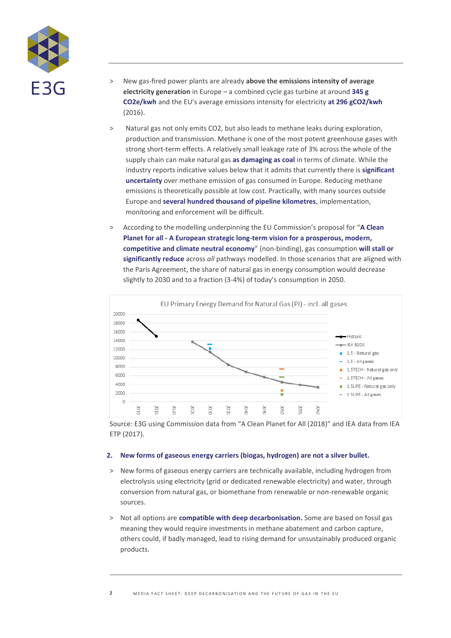

- > New gas-fired power plants are already **above the emissions intensity of average electricity generation** in Europe – a combined cycle gas turbine at around **[345 g](https://www.iea.org/newsroom/news/2016/september/the-long-road-from-paris-the-co2-impact-of-new-power-generation.html)  [CO2e/kwh](https://www.iea.org/newsroom/news/2016/september/the-long-road-from-paris-the-co2-impact-of-new-power-generation.html)** and the EU's average emissions intensity for electricity **at [296 gCO2/kwh](https://www.eea.europa.eu/data-and-maps/indicators/overview-of-the-electricity-production-2/assessment-4)** (2016).
- > Natural gas not only emits CO2, but also leads to methane leaks during exploration, production and transmission. Methane is one of the most potent greenhouse gases with strong short-term effects. A relatively small leakage rate of 3% across the whole of the supply chain can make natural gas **[as damaging as coal](https://www.iea.org/newsroom/news/2017/october/commentary-the-environmental-case-for-natural-gas.html)** in terms of climate. While the industry reports indicative values below that it admits that currently there is **[significant](https://www.gie.eu/index.php/gie-publications/position-papers/27082-gie-position-paper-on-methane-emissions/file)  [uncertainty](https://www.gie.eu/index.php/gie-publications/position-papers/27082-gie-position-paper-on-methane-emissions/file)** over methane emission of gas consumed in Europe. Reducing methane emissions is theoretically possible at low cost. Practically, with many sources outside Europe and **[several hundred thousand of pipeline kilometres](https://www.unece.org/fileadmin/DAM/env/teia/water/pipeline/end_ve_papadakis.pdf)**, implementation, monitoring and enforcement will be difficult.
- > According to the modelling underpinning the EU Commission's proposal for "**[A Clean](https://ec.europa.eu/clima/sites/clima/files/docs/pages/com_2018_733_en.pdf)  Planet for all - [A European strategic long-term vision for a prosperous, modern,](https://ec.europa.eu/clima/sites/clima/files/docs/pages/com_2018_733_en.pdf)  [competitive and climate neutral economy](https://ec.europa.eu/clima/sites/clima/files/docs/pages/com_2018_733_en.pdf)**" (non-binding), gas consumption **[will stall or](https://emea01.safelinks.protection.outlook.com/?url=https%3A%2F%2Fwww.e3g.org%2Flibrary%2Fmanaging-uncertainty-gas-in-the-eus-vision-for-a-climate-neutral-europe&data=02%7C01%7CJulian.Popov%40europeanclimate.org%7C769165bedca04217487008d6a15ddb53%7Ca23ec020e96348748d152e2a34e0288d%7C1%7C0%7C636873821834430002&sdata=ElApQ5rYk3Fw79eozf%2FfYVAEsAMgE%2FGW2OHUniTJHq8%3D&reserved=0)  [significantly reduce](https://emea01.safelinks.protection.outlook.com/?url=https%3A%2F%2Fwww.e3g.org%2Flibrary%2Fmanaging-uncertainty-gas-in-the-eus-vision-for-a-climate-neutral-europe&data=02%7C01%7CJulian.Popov%40europeanclimate.org%7C769165bedca04217487008d6a15ddb53%7Ca23ec020e96348748d152e2a34e0288d%7C1%7C0%7C636873821834430002&sdata=ElApQ5rYk3Fw79eozf%2FfYVAEsAMgE%2FGW2OHUniTJHq8%3D&reserved=0)** across *all* pathways modelled. In those scenarios that are aligned with the Paris Agreement, the share of natural gas in energy consumption would decrease slightly to 2030 and to a fraction (3-4%) of today's consumption in 2050.



Source: E3G using Commission data from "A Clean Planet for All (2018)" and IEA data from IEA ETP (2017).

#### **2. New forms of gaseous energy carriers (biogas, hydrogen) are not a silver bullet.**

- > New forms of gaseous energy carriers are technically available, including hydrogen from electrolysis using electricity (grid or dedicated renewable electricity) and water, through conversion from natural gas, or biomethane from renewable or non-renewable organic sources.
- > Not all options are **[compatible with deep decarbonisation.](https://www.e3g.org/library/renewable-and-decarbonised-gas-options-for-a-zero-emissions-society)** Some are based on fossil gas meaning they would require investments in methane abatement and carbon capture, others could, if badly managed, lead to rising demand for unsustainably produced organic products.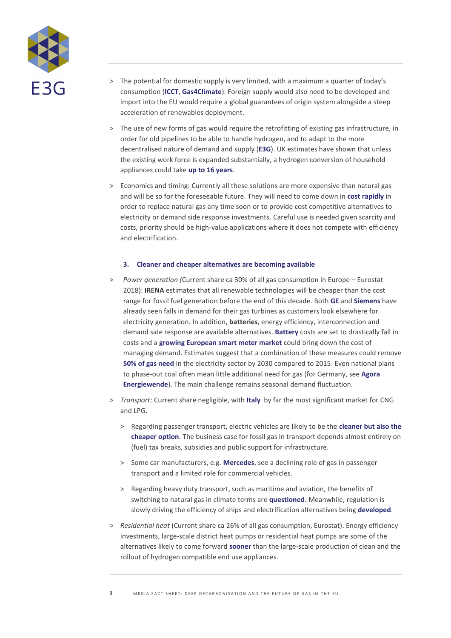

- > The potential for domestic supply is very limited, with a maximum a quarter of today's consumption (**[ICCT](https://www.theicct.org/publications/role-renewable-methane-eu)**, **[Gas4Climate](https://gasforclimate2050.eu/files/files/Ecofys_Gas_for_Climate_Report_Study_March18.pdf)**). Foreign supply would also need to be developed and import into the EU would require a global guarantees of origin system alongside a steep acceleration of renewables deployment.
- > The use of new forms of gas would require the retrofitting of existing gas infrastructure, in order for old pipelines to be able to handle hydrogen, and to adapt to the more decentralised nature of demand and supply (**[E3G](https://www.e3g.org/library/renewable-and-decarbonised-gas-options-for-a-zero-emissions-society)**). UK estimates have shown that unless the existing work force is expanded substantially, a hydrogen conversion of household appliances could take **[up to 16 years](https://s3-eu-central-1.amazonaws.com/centaur-wp/theengineer/prod/content/uploads/2019/02/07140939/TE_010219.pdf?cmpid=tenews_7403840&utm_medium=email&utm_source=newsletter&utm_campaign=tenews&adg=CD769CF5-D17B-435B-837C-BDCCA2A98E74)**.
- > Economics and timing: Currently all these solutions are more expensive than natural gas and will be so for the foreseeable future. They will need to come down in **[cost rapidly](https://energypost.eu/decarbonising-gas-tips-for-policymakers/)** in order to replace natural gas any time soon or to provide cost competitive alternatives to electricity or demand side response investments. Careful use is needed given scarcity and costs, priority should be high-value applications where it does not compete with efficiency and electrification.

#### **3. Cleaner and cheaper alternatives are becoming available**

- > *Power generation (*Current share ca 30% of all gas consumption in Europe Eurostat 2018): **[IRENA](https://cms.irena.org/publications/2018/Jan/Renewable-power-generation-costs-in-2017)** estimates that all renewable technologies will be cheaper than the cost range for fossil fuel generation before the end of this decade. Both **[GE](https://www.reuters.com/article/us-ge-power/how-general-electric-gambled-on-fossil-fuel-power-and-lost-idUSKCN1G60I3)** and **[Siemens](https://www.turbomachinerymag.com/fall-in-global-gas-turbine-demand-triggers-siemens-downsizing/)** have already seen falls in demand for their gas turbines as customers look elsewhere for electricity generation. In addition, **batteries**, energy efficiency, interconnection and demand side response are available alternatives. **[Battery](https://ec.europa.eu/jrc/en/science-update/lithium-ion-batteries-mobility-and-storage-applications)** costs are set to drastically fall in costs and a **[growing European smart meter market](https://www.engerati.com/article/europe%E2%80%99s-smart-meter-rollouts-%E2%80%93-new-report-takes-pulse)** could bring down the cost of managing demand. Estimates suggest that a combination of these measures could remove **[50% of gas need](https://www.energyunionchoices.eu/cleanersmartercheaper/)** in the electricity sector by 2030 compared to 2015. Even national plans to phase-out coal often mean little additional need for gas (for Germany, see **[Agora](https://www.agora-energiewende.de/fileadmin2/Projekte/2018/65_EE_und_Kohleausstieg/142_Stromsektor-2030_65-Prozent-EE-und-schrittweiser-Kohleausstieg_WEB.pdf)  [Energiewende](https://www.agora-energiewende.de/fileadmin2/Projekte/2018/65_EE_und_Kohleausstieg/142_Stromsektor-2030_65-Prozent-EE-und-schrittweiser-Kohleausstieg_WEB.pdf)**). The main challenge remains seasonal demand fluctuation.
- > *Transport*: Current share negligible, with **[Italy](https://europe.autonews.com/article/20180630/ANE/180619948/cng-car-sales-set-to-rise-on-tougher-emissions-rules)** by far the most significant market for CNG and LPG.
	- > Regarding passenger transport, electric vehicles are likely to be the **[cleaner but also the](https://www.transportenvironment.org/sites/te/files/publications/2018_10_TE_CNG_and_LNG_for_vehicles_and_ships_the_facts_EN.pdf)  [cheaper option](https://www.transportenvironment.org/sites/te/files/publications/2018_10_TE_CNG_and_LNG_for_vehicles_and_ships_the_facts_EN.pdf)**. The business case for fossil gas in transport depends almost entirely on (fuel) tax breaks, subsidies and public support for infrastructure.
	- > Some car manufacturers, e.g. **[Mercedes](https://europe.autonews.com/article/20180630/ANE/180619948/cng-car-sales-set-to-rise-on-tougher-emissions-rules)**, see a declining role of gas in passenger transport and a limited role for commercial vehicles.
	- > Regarding heavy duty transport, such as maritime and aviation, the benefits of switching to natural gas in climate terms are **[questioned](https://www.transportenvironment.org/sites/te/files/2018_06_LNG_marine_fuel_EU_UMAS_study.pdf)**. Meanwhile, regulation is slowly driving the efficiency of ships and electrification alternatives being **[developed](https://www.leonardo-energy.org/resources/1366/decarbonizing-the-shipping-industry-5a96706d17707)**.
- > *Residential heat* (Current share ca 26% of all gas consumption, Eurostat). Energy efficiency investments, large-scale district heat pumps or residential heat pumps are some of the alternatives likely to come forward **[sooner](https://www.theccc.org.uk/wp-content/uploads/2019/02/UK-housing-Fit-for-the-future-CCC-2019.pdf)** than the large-scale production of clean and the rollout of hydrogen compatible end use appliances.

**3** MEDIA FACT SHEET: DEEP DECARBONISATION AND THE FUTURE OF GAS IN THE EU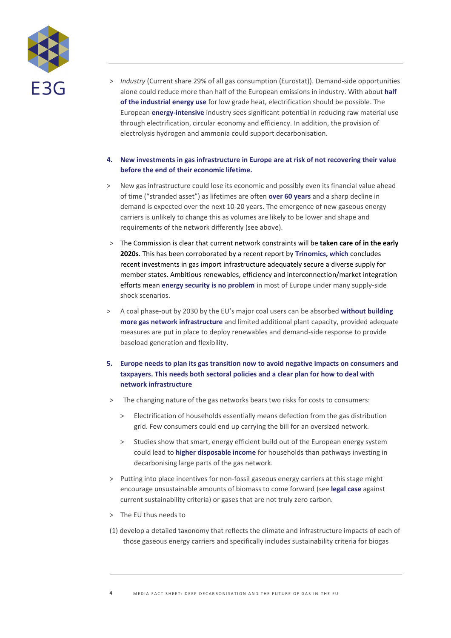

> *Industry* (Current share 29% of all gas consumption (Eurostat)). Demand-side opportunities alone could reduce more than half of the European emissions in industry. With about **[half](https://www.clingendaelenergy.com/inc/upload/files/CIEP_2017__03_web.pdf)  [of the industrial energy use](https://www.clingendaelenergy.com/inc/upload/files/CIEP_2017__03_web.pdf)** for low grade heat, electrification should be possible. The European **[energy-intensive](https://www.ies.be/files/Industrial_Value_Chain_25sept_0.pdf)** industry sees significant potential in reducing raw material use through electrification, circular economy and efficiency. In addition, the provision of electrolysis hydrogen and ammonia could support decarbonisation.

### **4. New investments in gas infrastructure in Europe are at risk of not recovering their value before the end of their economic lifetime.**

- > New gas infrastructure could lose its economic and possibly even its financial value ahead of time ("stranded asset") as lifetimes are often **[over 60 years](https://www.e3g.org/library/infrastructure-for-a-changing-energy-system-the-next-generation-of-policies)** and a sharp decline in demand is expected over the next 10-20 years. The emergence of new gaseous energy carriers is unlikely to change this as volumes are likely to be lower and shape and requirements of the network differently (see above).
- > The Commission is clear that current network constraints will be **[taken care of in the](https://ec.europa.eu/energy/sites/ener/files/documents/communication_on_infrastructure_17.pdf) early [2020s](https://ec.europa.eu/energy/sites/ener/files/documents/communication_on_infrastructure_17.pdf)**. This has been corroborated by a recent report by **[Trinomics, which](http://trinomics.eu/project/ten-e-and-cef-in-line-with-cop21/)** concludes recent investments in gas import infrastructure adequately secure a diverse supply for member states. Ambitious renewables, efficiency and interconnection/market integration efforts mean **[energy security is no problem](https://www.e3g.org/library/more-security-lower-cost-a-smarter-approach-to-gas-infrastructure-in-europe)** in most of Europe under many supply-side shock scenarios.
- > A coal phase-out by 2030 by the EU's major coal users can be absorbed **[without building](https://www.energyunionchoices.eu/cleanersmartercheaper/Cleaner,%20Smarter,%20Cheaper_Web.pdf)  more gas network [infrastructure](https://www.energyunionchoices.eu/cleanersmartercheaper/Cleaner,%20Smarter,%20Cheaper_Web.pdf)** and limited additional plant capacity, provided adequate measures are put in place to deploy renewables and demand-side response to provide baseload generation and flexibility.

## **5. Europe needs to plan its gas transition now to avoid negative impacts on consumers and taxpayers. This needs both sectoral policies and a clear plan for how to deal with network infrastructure**

- > The changing nature of the gas networks bears two risks for costs to consumers:
	- > Electrification of households essentially means defection from the gas distribution grid. Few consumers could end up carrying the bill for an oversized network.
	- > Studies show that smart, energy efficient build out of the European energy system could lead to **higher [disposable income](https://europeanclimate.org/wp-content/uploads/2019/03/Towards-Fossil-Free-Energy-in-2050.pdf)** for households than pathways investing in decarbonising large parts of the gas network.
- > Putting into place incentives for non-fossil gaseous energy carriers at this stage might encourage unsustainable amounts of biomass to come forward (see **[legal case](https://www.bioenergy-news.com/display_news/14454/ngo_files_order_against_inclusion_of_biomass_in_redii/)** against current sustainability criteria) or gases that are not truly zero carbon.
- > The EU thus needs to
- (1) develop a detailed taxonomy that reflects the climate and infrastructure impacts of each of those gaseous energy carriers and specifically includes sustainability criteria for biogas

MEDIA FACT SHEET: DEEP DECARBONISATION AND THE FUTURE OF GAS IN THE EU